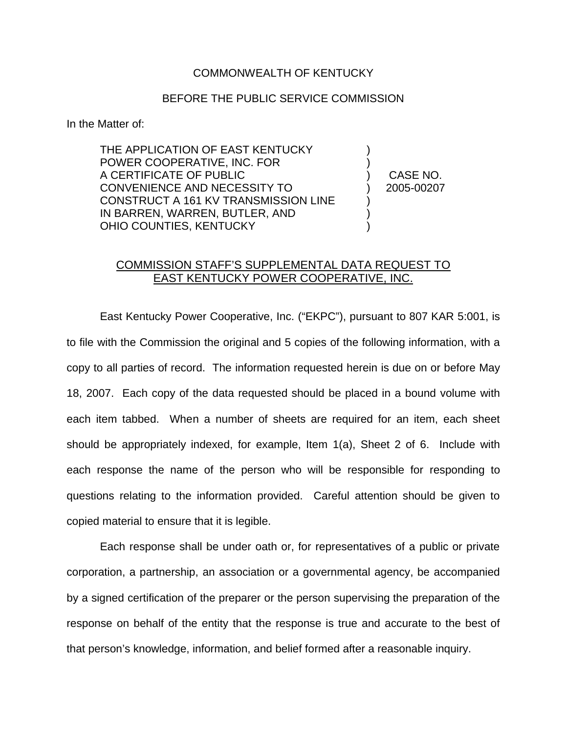## COMMONWEALTH OF KENTUCKY

## BEFORE THE PUBLIC SERVICE COMMISSION

In the Matter of:

THE APPLICATION OF EAST KENTUCKY POWER COOPERATIVE, INC. FOR ) A CERTIFICATE OF PUBLIC ) CASE NO. CONVENIENCE AND NECESSITY TO ) 2005-00207 CONSTRUCT A 161 KV TRANSMISSION LINE IN BARREN, WARREN, BUTLER, AND ) OHIO COUNTIES, KENTUCKY

## COMMISSION STAFF'S SUPPLEMENTAL DATA REQUEST TO EAST KENTUCKY POWER COOPERATIVE, INC.

East Kentucky Power Cooperative, Inc. ("EKPC"), pursuant to 807 KAR 5:001, is to file with the Commission the original and 5 copies of the following information, with a copy to all parties of record. The information requested herein is due on or before May 18, 2007. Each copy of the data requested should be placed in a bound volume with each item tabbed. When a number of sheets are required for an item, each sheet should be appropriately indexed, for example, Item 1(a), Sheet 2 of 6. Include with each response the name of the person who will be responsible for responding to questions relating to the information provided. Careful attention should be given to copied material to ensure that it is legible.

Each response shall be under oath or, for representatives of a public or private corporation, a partnership, an association or a governmental agency, be accompanied by a signed certification of the preparer or the person supervising the preparation of the response on behalf of the entity that the response is true and accurate to the best of that person's knowledge, information, and belief formed after a reasonable inquiry.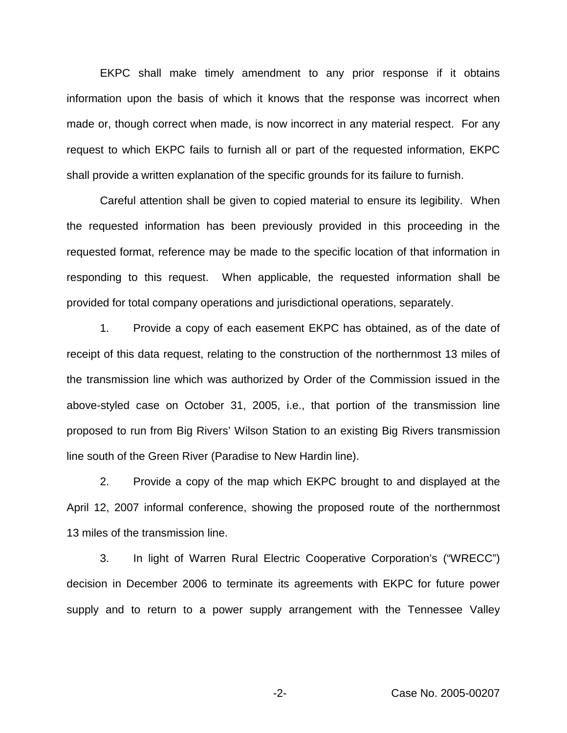EKPC shall make timely amendment to any prior response if it obtains information upon the basis of which it knows that the response was incorrect when made or, though correct when made, is now incorrect in any material respect. For any request to which EKPC fails to furnish all or part of the requested information, EKPC shall provide a written explanation of the specific grounds for its failure to furnish.

Careful attention shall be given to copied material to ensure its legibility. When the requested information has been previously provided in this proceeding in the requested format, reference may be made to the specific location of that information in responding to this request. When applicable, the requested information shall be provided for total company operations and jurisdictional operations, separately.

1. Provide a copy of each easement EKPC has obtained, as of the date of receipt of this data request, relating to the construction of the northernmost 13 miles of the transmission line which was authorized by Order of the Commission issued in the above-styled case on October 31, 2005, i.e., that portion of the transmission line proposed to run from Big Rivers' Wilson Station to an existing Big Rivers transmission line south of the Green River (Paradise to New Hardin line).

2. Provide a copy of the map which EKPC brought to and displayed at the April 12, 2007 informal conference, showing the proposed route of the northernmost 13 miles of the transmission line.

3. In light of Warren Rural Electric Cooperative Corporation's ("WRECC") decision in December 2006 to terminate its agreements with EKPC for future power supply and to return to a power supply arrangement with the Tennessee Valley

-2- Case No. 2005-00207